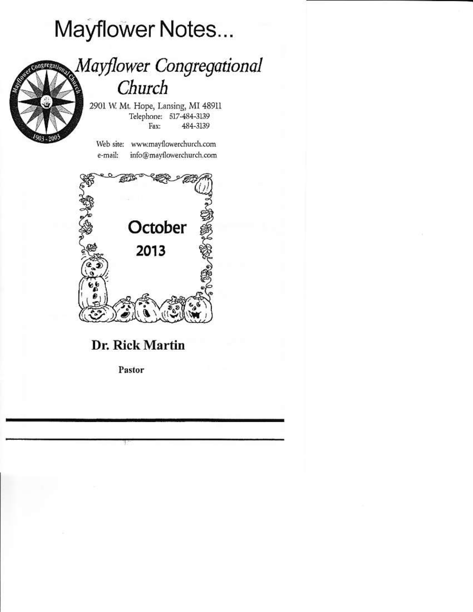# Mayflower Notes...



### Mayflower Congregational Church

2901 W. Mt. Hope, Lansing, MI 48911 Telephone: 517-484-3139 Fax: 484-3139

Web site: www.mayflowerchurch.com info@mayflowerchurch.com e-mail:



### Dr. Rick Martin

Pastor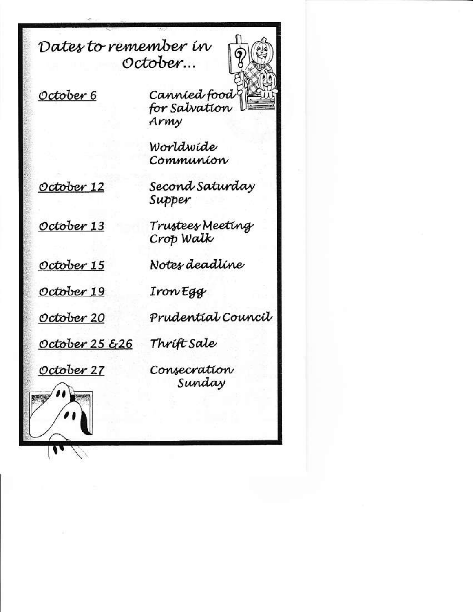Dates to remember in October...



October 6

Cannied food for Salvation Army

Worldwide Communion

October 12

October 13

Second Saturday Supper

Trustees Meeting Crop Walk

October 15

October 19

October 20

IronEgg

Notes deadline

Prudential Council

Thrift Sale October  $25 \frac{26}{9}$ 

October 27

Consecration Sunday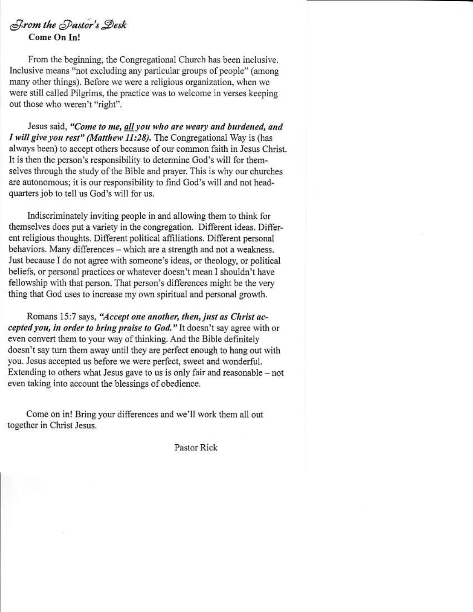#### From the Pastor's Desk Come On In!

From the beginning, the Congregational Church has been inclusive. Inclusive means "not excluding any particular groups of people" (among many other things). Before we were a religious organization, when we were still called Pilgrims, the practice was to welcome in verses keeping out those who weren't "right".

Jesus said, "Come to me, all you who are weary and burdened, and I will give you rest" (Matthew 11:28). The Congregational Way is (has always been) to accept others because of our common faith in Jesus Christ. It is then the person's responsibility to determine God's will for themselves through the study of the Bible and prayer. This is why our churches are autonomous; it is our responsibility to find God's will and not headquarters job to tell us God's will for us.

Indiscriminately inviting people in and allowing them to think for themselves does put a variety in the congregation. Different ideas. Different religious thoughts. Different political affiliations. Different personal behaviors. Many differences - which are a strength and not a weakness. Just because I do not agree with someone's ideas, or theology, or political beliefs, or personal practices or whatever doesn't mean I shouldn't have fellowship with that person. That person's differences might be the very thing that God uses to increase my own spiritual and personal growth.

Romans 15:7 says, "Accept one another, then, just as Christ accepted you, in order to bring praise to God." It doesn't say agree with or even convert them to your way of thinking. And the Bible definitely doesn't say turn them away until they are perfect enough to hang out with you. Jesus accepted us before we were perfect, sweet and wonderful. Extending to others what Jesus gave to us is only fair and reasonable  $-$  not even taking into account the blessings of obedience.

Come on in! Bring your differences and we'll work them all out together in Christ Jesus.

Pastor Rick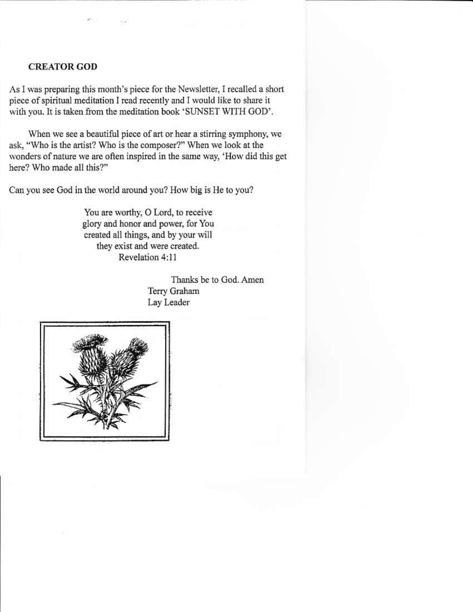#### **CREATOR GOD**

As I was preparing this month's piece for the Newsletter, I recalled a short piece of spiritual meditation I read recently and I would like to share it with you. It is taken from the meditation book 'SUNSET WITH GOD'.

When we see a beautiful piece of art or hear a stirring symphony, we ask, "Who is the artist? Who is the composer?" When we look at the wonders of nature we are often inspired in the same way, 'How did this get here? Who made all this?"

Can you see God in the world around you? How big is He to you?

You are worthy, O Lord, to receive glory and honor and power, for You created all things, and by your will they exist and were created. Revelation 4:11

> Thanks be to God. Amen Terry Graham Lay Leader

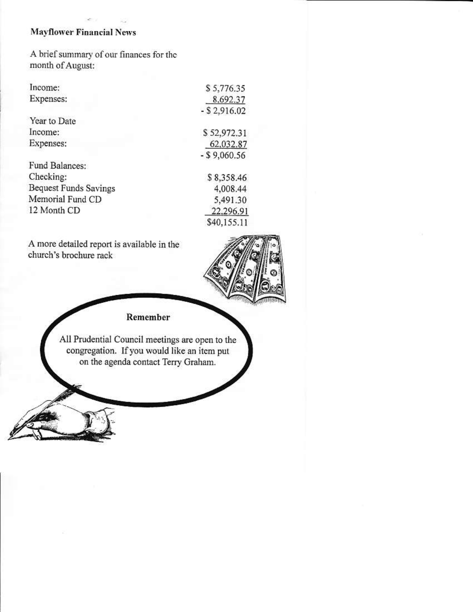#### **Mayflower Financial News**

A brief summary of our finances for the month of August:

| Income:                      | \$5,776.35      |  |
|------------------------------|-----------------|--|
| Expenses:                    | 8,692.37        |  |
|                              | $-$ \$ 2,916.02 |  |
| Year to Date                 |                 |  |
| Income:                      | \$52,972.31     |  |
| Expenses:                    | 62,032.87       |  |
|                              | $-$ \$9,060.56  |  |
| Fund Balances:               |                 |  |
| Checking:                    | \$8,358.46      |  |
| <b>Bequest Funds Savings</b> | 4,008.44        |  |
| Memorial Fund CD             | 5,491.30        |  |
| 12 Month CD                  | 22,296.91       |  |
|                              | \$40,155.11     |  |

A more detailed report is available in the church's brochure rack



#### Remember

All Prudential Council meetings are open to the<br>congregation. If you would like an item put on the agenda contact Terry Graham.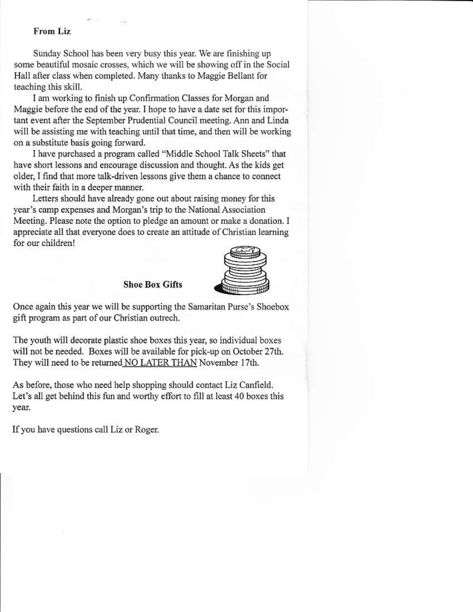#### **From Liz**

Sunday School has been very busy this year. We are finishing up some beautiful mosaic crosses, which we will be showing off in the Social Hall after class when completed. Many thanks to Maggie Bellant for teaching this skill.

I am working to finish up Confirmation Classes for Morgan and Maggie before the end of the year. I hope to have a date set for this important event after the September Prudential Council meeting. Ann and Linda will be assisting me with teaching until that time, and then will be working on a substitute basis going forward.

I have purchased a program called "Middle School Talk Sheets" that have short lessons and encourage discussion and thought. As the kids get older, I find that more talk-driven lessons give them a chance to connect with their faith in a deeper manner.

Letters should have already gone out about raising money for this vear's camp expenses and Morgan's trip to the National Association Meeting. Please note the option to pledge an amount or make a donation. I appreciate all that everyone does to create an attitude of Christian learning for our children!



**Shoe Box Gifts** 

Once again this year we will be supporting the Samaritan Purse's Shoebox gift program as part of our Christian outrech.

The youth will decorate plastic shoe boxes this year, so individual boxes will not be needed. Boxes will be available for pick-up on October 27th. They will need to be returned NO LATER THAN November 17th.

As before, those who need help shopping should contact Liz Canfield. Let's all get behind this fun and worthy effort to fill at least 40 boxes this year.

If you have questions call Liz or Roger.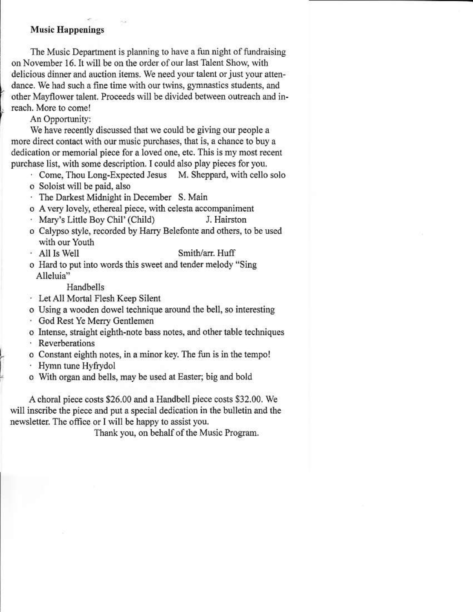#### **Music Happenings**

The Music Department is planning to have a fun night of fundraising on November 16. It will be on the order of our last Talent Show, with delicious dinner and auction items. We need your talent or just your attendance. We had such a fine time with our twins, gymnastics students, and other Mayflower talent. Proceeds will be divided between outreach and inreach. More to come!

An Opportunity:

We have recently discussed that we could be giving our people a more direct contact with our music purchases, that is, a chance to buy a dedication or memorial piece for a loved one, etc. This is my most recent purchase list, with some description. I could also play pieces for you.

- Come, Thou Long-Expected Jesus M. Sheppard, with cello solo o Soloist will be paid, also
- · The Darkest Midnight in December S. Main
- o A very lovely, ethereal piece, with celesta accompaniment
- · Mary's Little Boy Chil' (Child) J. Hairston
- o Calypso style, recorded by Harry Belefonte and others, to be used with our Youth
- · All Is Well Smith/arr. Huff
- o Hard to put into words this sweet and tender melody "Sing Alleluia"

Handbells

- · Let All Mortal Flesh Keep Silent
- o Using a wooden dowel technique around the bell, so interesting
- · God Rest Ye Merry Gentlemen
- o Intense, straight eighth-note bass notes, and other table techniques
- · Reverberations
- o Constant eighth notes, in a minor key. The fun is in the tempo!
- Hymn tune Hyfrydol
- o With organ and bells, may be used at Easter; big and bold

A choral piece costs \$26.00 and a Handbell piece costs \$32.00. We will inscribe the piece and put a special dedication in the bulletin and the newsletter. The office or I will be happy to assist you.

Thank you, on behalf of the Music Program.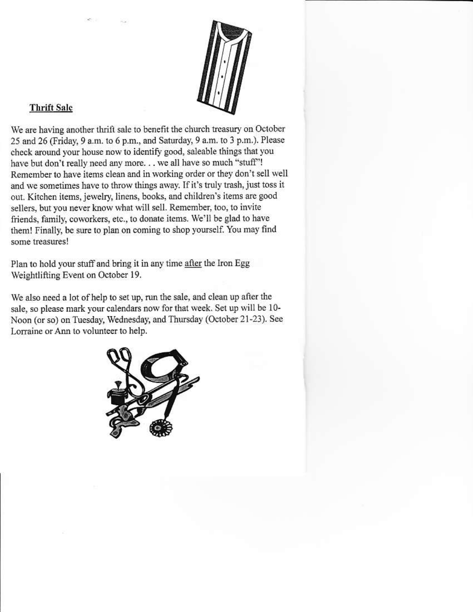

#### **Thrift Sale**

We are having another thrift sale to benefit the church treasury on October 25 and 26 (Friday, 9 a.m. to 6 p.m., and Saturday, 9 a.m. to 3 p.m.). Please check around your house now to identify good, saleable things that you have but don't really need any more. . . we all have so much "stuff"! Remember to have items clean and in working order or they don't sell well and we sometimes have to throw things away. If it's truly trash, just toss it out. Kitchen items, jewelry, linens, books, and children's items are good sellers, but you never know what will sell. Remember, too, to invite friends, family, coworkers, etc., to donate items. We'll be glad to have them! Finally, be sure to plan on coming to shop yourself. You may find some treasures!

Plan to hold your stuff and bring it in any time after the Iron Egg Weightlifting Event on October 19.

We also need a lot of help to set up, run the sale, and clean up after the sale, so please mark your calendars now for that week. Set up will be 10-Noon (or so) on Tuesday, Wednesday, and Thursday (October 21-23). See Lorraine or Ann to volunteer to help.

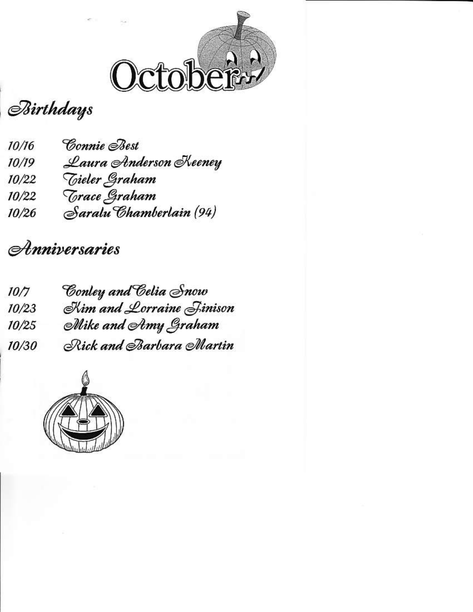

## **Birthdays**

- Connie *Poest*  $10/16$
- Laura Anderson Keeney  $10/19$
- *Tieler Graham*  $10/22$
- *Trace Graham*  $10/22$
- Saralu Chamberlain (94)  $10/26$

### Anniversaries

- Conley and Celia Snow  $10/7$
- Kim and Lorraine Jinison  $10/23$
- Mike and Amy Graham  $10/25$
- Rick and Barbara Martin 10/30